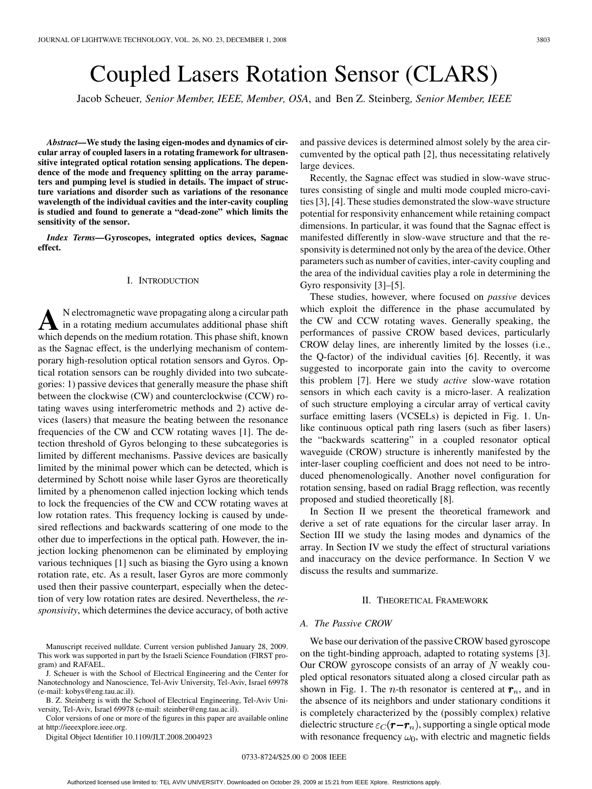# Coupled Lasers Rotation Sensor (CLARS)

Jacob Scheuer*, Senior Member, IEEE, Member, OSA*, and Ben Z. Steinberg*, Senior Member, IEEE*

*Abstract—***We study the lasing eigen-modes and dynamics of circular array of coupled lasers in a rotating framework for ultrasensitive integrated optical rotation sensing applications. The dependence of the mode and frequency splitting on the array parameters and pumping level is studied in details. The impact of structure variations and disorder such as variations of the resonance wavelength of the individual cavities and the inter-cavity coupling is studied and found to generate a "dead-zone" which limits the sensitivity of the sensor.**

*Index Terms—***Gyroscopes, integrated optics devices, Sagnac effect.**

## I. INTRODUCTION

A<br>
in a rotating medium accumulates additional phase shift<br>
which depends on the medium rate ion. This phase shift known which depends on the medium rotation. This phase shift, known as the Sagnac effect, is the underlying mechanism of contemporary high-resolution optical rotation sensors and Gyros. Optical rotation sensors can be roughly divided into two subcategories: 1) passive devices that generally measure the phase shift between the clockwise (CW) and counterclockwise (CCW) rotating waves using interferometric methods and 2) active devices (lasers) that measure the beating between the resonance frequencies of the CW and CCW rotating waves [1]. The detection threshold of Gyros belonging to these subcategories is limited by different mechanisms. Passive devices are basically limited by the minimal power which can be detected, which is determined by Schott noise while laser Gyros are theoretically limited by a phenomenon called injection locking which tends to lock the frequencies of the CW and CCW rotating waves at low rotation rates. This frequency locking is caused by undesired reflections and backwards scattering of one mode to the other due to imperfections in the optical path. However, the injection locking phenomenon can be eliminated by employing various techniques [1] such as biasing the Gyro using a known rotation rate, etc. As a result, laser Gyros are more commonly used then their passive counterpart, especially when the detection of very low rotation rates are desired. Nevertheless, the *responsivity*, which determines the device accuracy, of both active

Manuscript received nulldate. Current version published January 28, 2009. This work was supported in part by the Israeli Science Foundation (FIRST program) and RAFAEL.

J. Scheuer is with the School of Electrical Engineering and the Center for Nanotechnology and Nanoscience, Tel-Aviv University, Tel-Aviv, Israel 69978 (e-mail: kobys@eng.tau.ac.il).

B. Z. Steinberg is with the School of Electrical Engineering, Tel-Aviv University, Tel-Aviv, Israel 69978 (e-mail: steinber@eng.tau.ac.il).

Color versions of one or more of the figures in this paper are available online at http://ieeexplore.ieee.org.

Digital Object Identifier 10.1109/JLT.2008.2004923

and passive devices is determined almost solely by the area circumvented by the optical path [2], thus necessitating relatively large devices.

Recently, the Sagnac effect was studied in slow-wave structures consisting of single and multi mode coupled micro-cavities [3], [4]. These studies demonstrated the slow-wave structure potential for responsivity enhancement while retaining compact dimensions. In particular, it was found that the Sagnac effect is manifested differently in slow-wave structure and that the responsivity is determined not only by the area of the device. Other parameters such as number of cavities, inter-cavity coupling and the area of the individual cavities play a role in determining the Gyro responsivity [3]–[5].

These studies, however, where focused on *passive* devices which exploit the difference in the phase accumulated by the CW and CCW rotating waves. Generally speaking, the performances of passive CROW based devices, particularly CROW delay lines, are inherently limited by the losses (i.e., the Q-factor) of the individual cavities [6]. Recently, it was suggested to incorporate gain into the cavity to overcome this problem [7]. Here we study *active* slow-wave rotation sensors in which each cavity is a micro-laser. A realization of such structure employing a circular array of vertical cavity surface emitting lasers (VCSELs) is depicted in Fig. 1. Unlike continuous optical path ring lasers (such as fiber lasers) the "backwards scattering" in a coupled resonator optical waveguide (CROW) structure is inherently manifested by the inter-laser coupling coefficient and does not need to be introduced phenomenologically. Another novel configuration for rotation sensing, based on radial Bragg reflection, was recently proposed and studied theoretically [8].

In Section II we present the theoretical framework and derive a set of rate equations for the circular laser array. In Section III we study the lasing modes and dynamics of the array. In Section IV we study the effect of structural variations and inaccuracy on the device performance. In Section V we discuss the results and summarize.

## II. THEORETICAL FRAMEWORK

## *A. The Passive CROW*

We base our derivation of the passive CROW based gyroscope on the tight-binding approach, adapted to rotating systems [3]. Our CROW gyroscope consists of an array of  $N$  weakly coupled optical resonators situated along a closed circular path as shown in Fig. 1. The *n*-th resonator is centered at  $r_n$ , and in the absence of its neighbors and under stationary conditions it is completely characterized by the (possibly complex) relative dielectric structure  $\varepsilon_C(\mathbf{r} - \mathbf{r}_n)$ , supporting a single optical mode with resonance frequency  $\omega_0$ , with electric and magnetic fields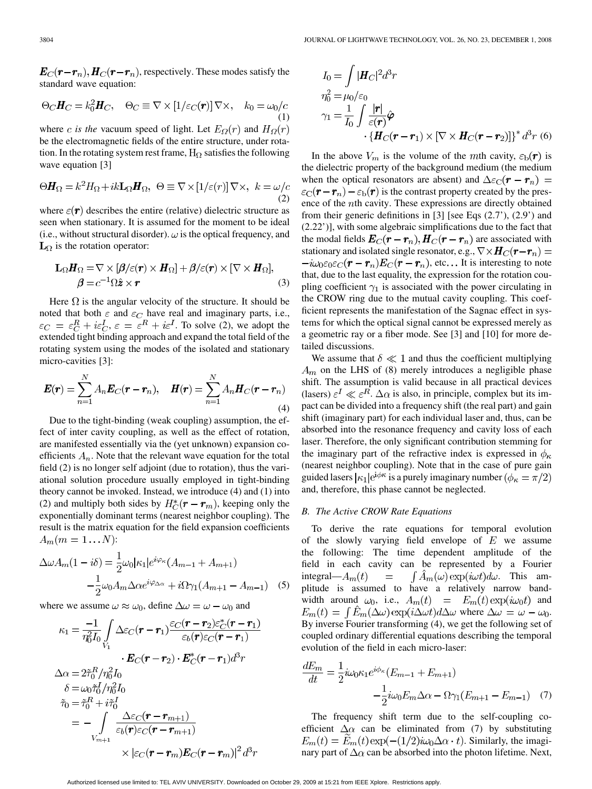$\boldsymbol{E}_C(\boldsymbol{r}-\boldsymbol{r}_n), \boldsymbol{H}_C(\boldsymbol{r}-\boldsymbol{r}_n)$ , respectively. These modes satisfy the standard wave equation:

$$
\Theta_C \mathbf{H}_C = k_0^2 \mathbf{H}_C, \quad \Theta_C \equiv \nabla \times [1/\varepsilon_C(\mathbf{r})] \nabla \times, \quad k_0 = \omega_0/c
$$
\n(1)

where *c* is the vacuum speed of light. Let  $E_{\Omega}(r)$  and  $H_{\Omega}(r)$ be the electromagnetic fields of the entire structure, under rotation. In the rotating system rest frame,  $H_{\Omega}$  satisfies the following wave equation [3]

$$
\Theta \mathbf{H}_{\Omega} = k^2 H_{\Omega} + ik \mathbf{L}_{\Omega} \mathbf{H}_{\Omega}, \ \ \Theta \equiv \nabla \times [1/\varepsilon(r)] \nabla \times, \ \ k = \omega/c \tag{2}
$$

where  $\varepsilon(\mathbf{r})$  describes the entire (relative) dielectric structure as seen when stationary. It is assumed for the moment to be ideal (i.e., without structural disorder).  $\omega$  is the optical frequency, and  ${\bf L}_{\Omega}$  is the rotation operator:

$$
\mathbf{L}_{\Omega}\mathbf{H}_{\Omega} = \nabla \times [\beta/\varepsilon(\mathbf{r}) \times \mathbf{H}_{\Omega}] + \beta/\varepsilon(\mathbf{r}) \times [\nabla \times \mathbf{H}_{\Omega}],
$$
  

$$
\beta = c^{-1}\Omega \hat{\mathbf{z}} \times \mathbf{r}
$$
 (3)

Here  $\Omega$  is the angular velocity of the structure. It should be noted that both  $\varepsilon$  and  $\varepsilon_C$  have real and imaginary parts, i.e.,  $\varepsilon_C = \varepsilon_C^R + i\varepsilon_C^I$ ,  $\varepsilon = \varepsilon^R + i\varepsilon^I$ . To solve (2), we adopt the extended tight binding approach and expand the total field of the rotating system using the modes of the isolated and stationary micro-cavities [3]:

$$
\boldsymbol{E}(\boldsymbol{r}) = \sum_{n=1}^{N} A_n \boldsymbol{E}_C(\boldsymbol{r} - \boldsymbol{r}_n), \quad \boldsymbol{H}(\boldsymbol{r}) = \sum_{n=1}^{N} A_n \boldsymbol{H}_C(\boldsymbol{r} - \boldsymbol{r}_n)
$$
\n(4)

Due to the tight-binding (weak coupling) assumption, the effect of inter cavity coupling, as well as the effect of rotation, are manifested essentially via the (yet unknown) expansion coefficients  $A_n$ . Note that the relevant wave equation for the total field (2) is no longer self adjoint (due to rotation), thus the variational solution procedure usually employed in tight-binding theory cannot be invoked. Instead, we introduce (4) and (1) into (2) and multiply both sides by  $H_C^*(\mathbf{r} - \mathbf{r}_m)$ , keeping only the exponentially dominant terms (nearest neighbor coupling). The result is the matrix equation for the field expansion coefficients  $A_m(m=1...N)$ :

$$
\Delta \omega A_m (1 - i\delta) = \frac{1}{2} \omega_0 |\kappa_1| e^{i\varphi_\kappa} (A_{m-1} + A_{m+1})
$$

$$
- \frac{1}{2} \omega_0 A_m \Delta \alpha e^{i\varphi_{\Delta \alpha}} + i\Omega \gamma_1 (A_{m+1} - A_{m-1}) \quad (5)
$$

where we assume  $\omega \approx \omega_0$ , define  $\Delta \omega = \omega - \omega_0$  and

$$
\kappa_1 = \frac{-1}{\eta_0^2 I_0} \int_{V_1} \Delta \varepsilon_C (\mathbf{r} - \mathbf{r}_1) \frac{\varepsilon_C (\mathbf{r} - \mathbf{r}_2) \varepsilon_C^* (\mathbf{r} - \mathbf{r}_1)}{\varepsilon_b (\mathbf{r}) \varepsilon_C (\mathbf{r} - \mathbf{r}_1)}
$$

$$
\cdot \mathbf{E}_C (\mathbf{r} - \mathbf{r}_2) \cdot \mathbf{E}_C^* (\mathbf{r} - \mathbf{r}_1) d^3 r
$$

$$
\Delta \alpha = 2 \tilde{\tau}_0^R / \eta_0^2 I_0
$$

$$
\delta = \omega_0 \tilde{\tau}_0^I / \eta_0^2 I_0
$$

$$
\tilde{\tau}_0 = \tilde{\tau}_0^R + i \tilde{\tau}_0^I
$$

$$
= - \int_{V_{m+1}} \frac{\Delta \varepsilon_C (\mathbf{r} - \mathbf{r}_{m+1})}{\varepsilon_b (\mathbf{r}) \varepsilon_C (\mathbf{r} - \mathbf{r}_{m+1})}
$$

$$
\times |\varepsilon_C (\mathbf{r} - \mathbf{r}_m) \mathbf{E}_C (\mathbf{r} - \mathbf{r}_m)|^2 d^3 r
$$

$$
I_0 = \int |\boldsymbol{H}_C|^2 d^3r
$$
  
\n
$$
\eta_0^2 = \mu_0/\varepsilon_0
$$
  
\n
$$
\gamma_1 = \frac{1}{I_0} \int \frac{|\boldsymbol{r}|}{\varepsilon(\boldsymbol{r})} \hat{\boldsymbol{\varphi}}
$$
  
\n
$$
\cdot \{ \boldsymbol{H}_C(\boldsymbol{r} - \boldsymbol{r}_1) \times [\nabla \times \boldsymbol{H}_C(\boldsymbol{r} - \boldsymbol{r}_2)] \}^* d^3r
$$
 (6)

In the above  $V_m$  is the volume of the mth cavity,  $\varepsilon_b(\mathbf{r})$  is the dielectric property of the background medium (the medium when the optical resonators are absent) and  $\Delta \epsilon_C(\mathbf{r} - \mathbf{r}_n)$  =  $\varepsilon_{\rm C}(\mathbf{r}-\mathbf{r}_n)-\varepsilon_{\rm b}(\mathbf{r})$  is the contrast property created by the presence of the *th cavity. These expressions are directly obtained* from their generic definitions in [3] [see Eqs (2.7'), (2.9') and (2.22')], with some algebraic simplifications due to the fact that the modal fields  $\mathbf{E}_C(\mathbf{r}-\mathbf{r}_n), \mathbf{H}_C(\mathbf{r}-\mathbf{r}_n)$  are associated with stationary and isolated single resonator, e.g.,  $\nabla \times \mathbf{H}_C(\mathbf{r} - \mathbf{r}_n) =$  $-i\omega_0 \varepsilon_0 \varepsilon_C (\mathbf{r} - \mathbf{r}_n) \mathbf{E}_C(\mathbf{r} - \mathbf{r}_n)$ , etc... It is interesting to note that, due to the last equality, the expression for the rotation coupling coefficient  $\gamma_1$  is associated with the power circulating in the CROW ring due to the mutual cavity coupling. This coefficient represents the manifestation of the Sagnac effect in systems for which the optical signal cannot be expressed merely as a geometric ray or a fiber mode. See [3] and [10] for more detailed discussions.

We assume that  $\delta \ll 1$  and thus the coefficient multiplying  $A_m$  on the LHS of (8) merely introduces a negligible phase shift. The assumption is valid because in all practical devices (lasers)  $\varepsilon^I \ll \varepsilon^R$ .  $\Delta \alpha$  is also, in principle, complex but its impact can be divided into a frequency shift (the real part) and gain shift (imaginary part) for each individual laser and, thus, can be absorbed into the resonance frequency and cavity loss of each laser. Therefore, the only significant contribution stemming for the imaginary part of the refractive index is expressed in  $\phi_{\kappa}$ (nearest neighbor coupling). Note that in the case of pure gain guided lasers  $|\kappa_1|e^{i\phi\kappa}$  is a purely imaginary number  $(\phi_{\kappa} = \pi/2)$ and, therefore, this phase cannot be neglected.

## *B. The Active CROW Rate Equations*

To derive the rate equations for temporal evolution of the slowly varying field envelope of  $E$  we assume the following: The time dependent amplitude of the field in each cavity can be represented by a Fourier integral— $A_m(t)$  =  $\int A_m(\omega) \exp(i\omega t) d\omega$ . This amplitude is assumed to have a relatively narrow bandwidth around  $\omega_0$ , i.e.,  $A_m(t) = E_m(t) \exp(i\omega_0 t)$  and  $E_m(t) = \int \hat{E}_m(\Delta \omega) \exp(i \Delta \omega t) d\Delta \omega$  where  $\Delta \omega = \omega - \omega_0$ . By inverse Fourier transforming (4), we get the following set of coupled ordinary differential equations describing the temporal evolution of the field in each micro-laser:

$$
\frac{dE_m}{dt} = \frac{1}{2} i\omega_0 \kappa_1 e^{i\phi_\kappa} (E_{m-1} + E_{m+1}) - \frac{1}{2} i\omega_0 E_m \Delta \alpha - \Omega \gamma_1 (E_{m+1} - E_{m-1}) \tag{7}
$$

The frequency shift term due to the self-coupling coefficient  $\Delta \alpha$  can be eliminated from (7) by substituting  $E_m(t) = \dot{E}_m(t) \exp(-(1/2) i\omega_0 \Delta \alpha \cdot t)$ . Similarly, the imaginary part of  $\Delta \alpha$  can be absorbed into the photon lifetime. Next,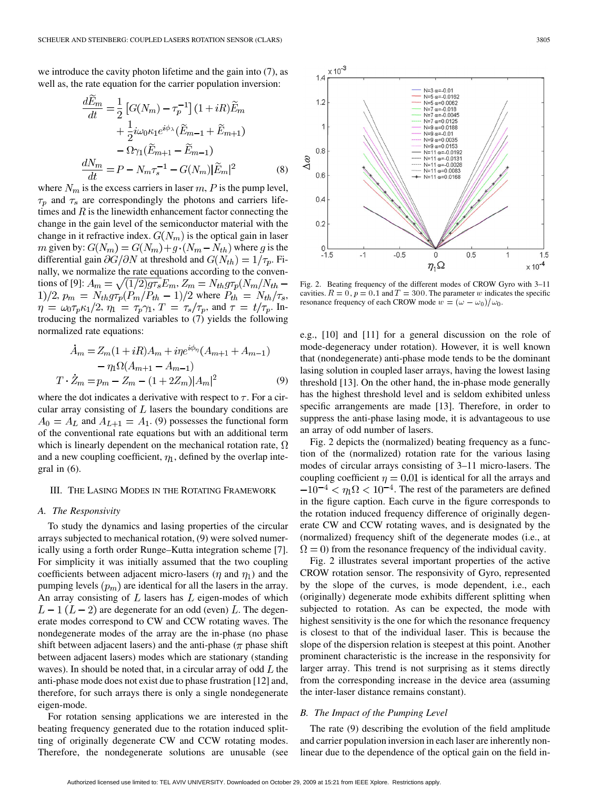we introduce the cavity photon lifetime and the gain into (7), as well as, the rate equation for the carrier population inversion:

$$
\frac{dE_m}{dt} = \frac{1}{2} \left[ G(N_m) - \tau_p^{-1} \right] (1 + iR) \widetilde{E}_m
$$

$$
+ \frac{1}{2} i \omega_0 \kappa_1 e^{i\phi_\lambda} (\widetilde{E}_{m-1} + \widetilde{E}_{m+1})
$$

$$
- \Omega \gamma_1 (\widetilde{E}_{m+1} - \widetilde{E}_{m-1})
$$

$$
\frac{dN_m}{dt} = P - N_m \tau_s^{-1} - G(N_m) |\widetilde{E}_m|^2 \tag{8}
$$

where  $N_m$  is the excess carriers in laser  $m$ , P is the pump level,  $\tau_p$  and  $\tau_s$  are correspondingly the photons and carriers lifetimes and  $R$  is the linewidth enhancement factor connecting the change in the gain level of the semiconductor material with the change in it refractive index.  $G(N_m)$  is the optical gain in laser m given by:  $G(N_m) = G(N_m) + g \cdot (N_m - N_{th})$  where g is the differential gain  $\partial G/\partial N$  at threshold and  $G(N_{th}) = 1/\tau_p$ . Finally, we normalize the rate equations according to the conventions of [9]:  $A_m = \sqrt{(1/2)g\tau_s}E_m$ ,  $Z_m = N_{th}g\tau_p(N_m/N_{th} (1)/2$ ,  $p_m = N_{th}g\tau_p(P_m/P_{th}-1)/2$  where  $P_{th} = N_{th}/\tau_s$ ,  $\eta = \omega_0 \tau_p \kappa_1/2$ ,  $\eta_1 = \tau_p \gamma_1$ ,  $T = \tau_s/\tau_p$ , and  $\tau = t/\tau_p$ . Introducing the normalized variables to (7) yields the following normalized rate equations:

$$
\begin{aligned} \n\dot{A}_m &= Z_m(1 + iR)A_m + i\eta e^{i\phi_n}(A_{m+1} + A_{m-1}) \\ \n&- \eta_1 \Omega(A_{m+1} - A_{m-1}) \\ \nT \cdot \dot{Z}_m &= p_m - Z_m - (1 + 2Z_m)|A_m|^2 \n\end{aligned} \tag{9}
$$

where the dot indicates a derivative with respect to  $\tau$ . For a circular array consisting of  $L$  lasers the boundary conditions are  $A_0 = A_L$  and  $A_{L+1} = A_1$ . (9) possesses the functional form of the conventional rate equations but with an additional term which is linearly dependent on the mechanical rotation rate,  $\Omega$ and a new coupling coefficient,  $\eta_1$ , defined by the overlap integral in (6).

## III. THE LASING MODES IN THE ROTATING FRAMEWORK

# *A. The Responsivity*

To study the dynamics and lasing properties of the circular arrays subjected to mechanical rotation, (9) were solved numerically using a forth order Runge–Kutta integration scheme [7]. For simplicity it was initially assumed that the two coupling coefficients between adjacent micro-lasers ( $\eta$  and  $\eta_1$ ) and the pumping levels  $(p_m)$  are identical for all the lasers in the array. An array consisting of  $L$  lasers has  $L$  eigen-modes of which  $L-1(L-2)$  are degenerate for an odd (even) L. The degenerate modes correspond to CW and CCW rotating waves. The nondegenerate modes of the array are the in-phase (no phase shift between adjacent lasers) and the anti-phase ( $\pi$  phase shift between adjacent lasers) modes which are stationary (standing waves). In should be noted that, in a circular array of odd  $L$  the anti-phase mode does not exist due to phase frustration [12] and, therefore, for such arrays there is only a single nondegenerate eigen-mode.

For rotation sensing applications we are interested in the beating frequency generated due to the rotation induced splitting of originally degenerate CW and CCW rotating modes. Therefore, the nondegenerate solutions are unusable (see



Fig. 2. Beating frequency of the different modes of CROW Gyro with 3–11 cavities.  $R = 0, p = 0.1$  and  $T = 300$ . The parameter w indicates the specific  $\eta_1 \Omega$ <br>Fig. 2. Beating frequency of the different modes of CROW G<br>cavities.  $R = 0, p = 0.1$  and  $T = 300$ . The parameter w indica<br>resonance frequency of each CROW mode  $w = (\omega - \omega_0)/\omega_0$ .

e.g., [10] and [11] for a general discussion on the role of mode-degeneracy under rotation). However, it is well known that (nondegenerate) anti-phase mode tends to be the dominant lasing solution in coupled laser arrays, having the lowest lasing threshold [13]. On the other hand, the in-phase mode generally has the highest threshold level and is seldom exhibited unless specific arrangements are made [13]. Therefore, in order to suppress the anti-phase lasing mode, it is advantageous to use an array of odd number of lasers.

Fig. 2 depicts the (normalized) beating frequency as a function of the (normalized) rotation rate for the various lasing modes of circular arrays consisting of 3–11 micro-lasers. The coupling coefficient  $\eta = 0.01$  is identical for all the arrays and  $-10^{-4} < \eta_1 \Omega < 10^{-4}$ . The rest of the parameters are defined in the figure caption. Each curve in the figure corresponds to the rotation induced frequency difference of originally degenerate CW and CCW rotating waves, and is designated by the (normalized) frequency shift of the degenerate modes (i.e., at  $\Omega = 0$ ) from the resonance frequency of the individual cavity.

Fig. 2 illustrates several important properties of the active CROW rotation sensor. The responsivity of Gyro, represented by the slope of the curves, is mode dependent, i.e., each (originally) degenerate mode exhibits different splitting when subjected to rotation. As can be expected, the mode with highest sensitivity is the one for which the resonance frequency is closest to that of the individual laser. This is because the slope of the dispersion relation is steepest at this point. Another prominent characteristic is the increase in the responsivity for larger array. This trend is not surprising as it stems directly from the corresponding increase in the device area (assuming the inter-laser distance remains constant).

# *B. The Impact of the Pumping Level*

The rate (9) describing the evolution of the field amplitude and carrier population inversion in each laser are inherently nonlinear due to the dependence of the optical gain on the field in-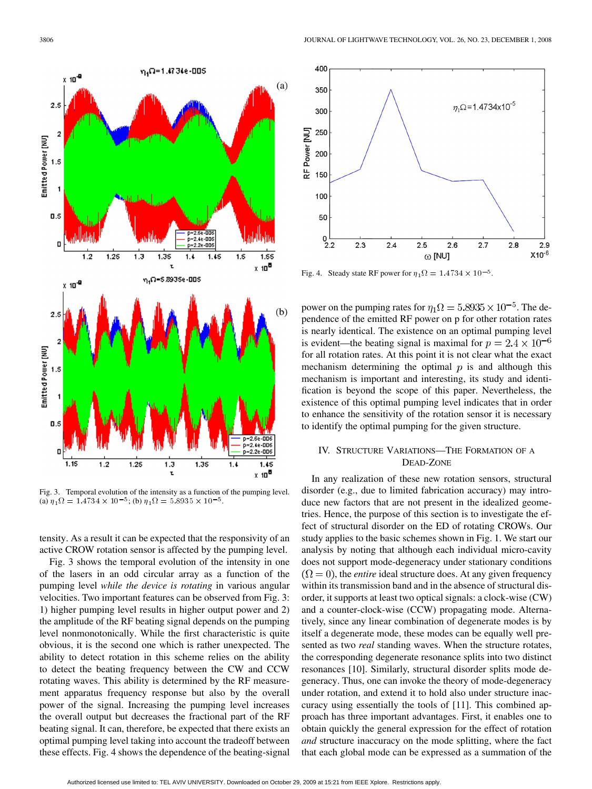

Fig. 3. Temporal evolution of the intensity as a function of the pumping level. (a)  $\eta_1 \Omega = 1.4734 \times 10^{-5}$ ; (b)  $\eta_1 \Omega = 5.8935 \times 10^{-5}$ .

tensity. As a result it can be expected that the responsivity of an active CROW rotation sensor is affected by the pumping level.

Fig. 3 shows the temporal evolution of the intensity in one of the lasers in an odd circular array as a function of the pumping level *while the device is rotating* in various angular velocities. Two important features can be observed from Fig. 3: 1) higher pumping level results in higher output power and 2) the amplitude of the RF beating signal depends on the pumping level nonmonotonically. While the first characteristic is quite obvious, it is the second one which is rather unexpected. The ability to detect rotation in this scheme relies on the ability to detect the beating frequency between the CW and CCW rotating waves. This ability is determined by the RF measurement apparatus frequency response but also by the overall power of the signal. Increasing the pumping level increases the overall output but decreases the fractional part of the RF beating signal. It can, therefore, be expected that there exists an optimal pumping level taking into account the tradeoff between these effects. Fig. 4 shows the dependence of the beating-signal



Fig. 4. Steady state RF power for  $\eta_1 \Omega = 1.4734 \times 10^{-5}$ .

power on the pumping rates for  $\eta_1 \Omega = 5.8935 \times 10^{-5}$ . The dependence of the emitted RF power on p for other rotation rates is nearly identical. The existence on an optimal pumping level is evident—the beating signal is maximal for  $p = 2.4 \times 10^{-6}$ for all rotation rates. At this point it is not clear what the exact mechanism determining the optimal  $p$  is and although this mechanism is important and interesting, its study and identification is beyond the scope of this paper. Nevertheless, the existence of this optimal pumping level indicates that in order to enhance the sensitivity of the rotation sensor it is necessary to identify the optimal pumping for the given structure.

# IV. STRUCTURE VARIATIONS—THE FORMATION OF A DEAD-ZONE

In any realization of these new rotation sensors, structural disorder (e.g., due to limited fabrication accuracy) may introduce new factors that are not present in the idealized geometries. Hence, the purpose of this section is to investigate the effect of structural disorder on the ED of rotating CROWs. Our study applies to the basic schemes shown in Fig. 1. We start our analysis by noting that although each individual micro-cavity does not support mode-degeneracy under stationary conditions  $(\Omega = 0)$ , the *entire* ideal structure does. At any given frequency within its transmission band and in the absence of structural disorder, it supports at least two optical signals: a clock-wise (CW) and a counter-clock-wise (CCW) propagating mode. Alternatively, since any linear combination of degenerate modes is by itself a degenerate mode, these modes can be equally well presented as two *real* standing waves. When the structure rotates, the corresponding degenerate resonance splits into two distinct resonances [10]. Similarly, structural disorder splits mode degeneracy. Thus, one can invoke the theory of mode-degeneracy under rotation, and extend it to hold also under structure inaccuracy using essentially the tools of [11]. This combined approach has three important advantages. First, it enables one to obtain quickly the general expression for the effect of rotation *and* structure inaccuracy on the mode splitting, where the fact that each global mode can be expressed as a summation of the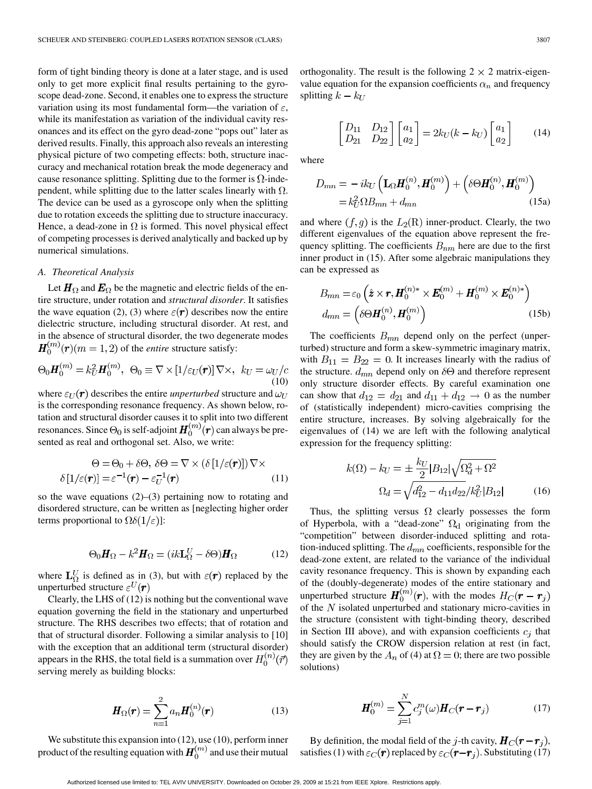form of tight binding theory is done at a later stage, and is used only to get more explicit final results pertaining to the gyroscope dead-zone. Second, it enables one to express the structure variation using its most fundamental form—the variation of  $\varepsilon$ , while its manifestation as variation of the individual cavity resonances and its effect on the gyro dead-zone "pops out" later as derived results. Finally, this approach also reveals an interesting physical picture of two competing effects: both, structure inaccuracy and mechanical rotation break the mode degeneracy and cause resonance splitting. Splitting due to the former is  $\Omega$ -independent, while splitting due to the latter scales linearly with  $\Omega$ . The device can be used as a gyroscope only when the splitting due to rotation exceeds the splitting due to structure inaccuracy. Hence, a dead-zone in  $\Omega$  is formed. This novel physical effect of competing processes is derived analytically and backed up by numerical simulations.

## *A. Theoretical Analysis*

Let  $\mathbf{H}_{\Omega}$  and  $\mathbf{E}_{\Omega}$  be the magnetic and electric fields of the entire structure, under rotation and *structural disorder*. It satisfies the wave equation (2), (3) where  $\varepsilon(\mathbf{r})$  describes now the entire dielectric structure, including structural disorder. At rest, and in the absence of structural disorder, the two degenerate modes  $H_0^{(m)}(r)(m=1,2)$  of the *entire* structure satisfy:

$$
\Theta_0 \mathbf{H}_0^{(m)} = k_U^2 \mathbf{H}_0^{(m)}, \ \ \Theta_0 \equiv \nabla \times [1/\varepsilon_U(\mathbf{r})] \nabla \times, \ \ k_U = \omega_U/c
$$
\n<sup>(10)</sup>

where  $\varepsilon_U(\mathbf{r})$  describes the entire *unperturbed* structure and  $\omega_U$ is the corresponding resonance frequency. As shown below, rotation and structural disorder causes it to split into two different resonances. Since  $\Theta_0$  is self-adjoint  $H_0^{(m)}(r)$  can always be presented as real and orthogonal set. Also, we write:

$$
\Theta = \Theta_0 + \delta \Theta, \ \delta \Theta = \nabla \times (\delta [1/\varepsilon(\mathbf{r})]) \nabla \times \n\delta [1/\varepsilon(\mathbf{r})] = \varepsilon^{-1}(\mathbf{r}) - \varepsilon_U^{-1}(\mathbf{r})
$$
\n(11)

so the wave equations  $(2)$ – $(3)$  pertaining now to rotating and disordered structure, can be written as [neglecting higher order terms proportional to  $\Omega \delta(1/\varepsilon)$ :

$$
\Theta_0 \mathbf{H}_{\Omega} - k^2 \mathbf{H}_{\Omega} = (ik \mathbf{L}_{\Omega}^U - \delta \Theta) \mathbf{H}_{\Omega} \tag{12}
$$

where  $\mathbf{L}_{\Omega}^{U}$  is defined as in (3), but with  $\varepsilon(\mathbf{r})$  replaced by the unperturbed structure  $\varepsilon^{U}(\mathbf{r})$ 

Clearly, the LHS of (12) is nothing but the conventional wave equation governing the field in the stationary and unperturbed structure. The RHS describes two effects; that of rotation and that of structural disorder. Following a similar analysis to [10] with the exception that an additional term (structural disorder) appears in the RHS, the total field is a summation over  $H_0^{(n)}(\vec{r})$ serving merely as building blocks:

$$
\boldsymbol{H}_{\Omega}(\boldsymbol{r}) = \sum_{n=1}^{2} a_n \boldsymbol{H}_{0}^{(n)}(\boldsymbol{r})
$$
(13)

We substitute this expansion into (12), use (10), perform inner product of the resulting equation with  $H_0^{(m)}$  and use their mutual orthogonality. The result is the following  $2 \times 2$  matrix-eigenvalue equation for the expansion coefficients  $\alpha_n$  and frequency splitting  $k - k_U$ 

$$
\begin{bmatrix} D_{11} & D_{12} \\ D_{21} & D_{22} \end{bmatrix} \begin{bmatrix} a_1 \\ a_2 \end{bmatrix} = 2k_U(k - k_U) \begin{bmatrix} a_1 \\ a_2 \end{bmatrix}
$$
 (14)

where

$$
D_{mn} = -ik_U \left( \mathbf{L}_{\Omega} \mathbf{H}_0^{(n)}, \mathbf{H}_0^{(m)} \right) + \left( \delta \Theta \mathbf{H}_0^{(n)}, \mathbf{H}_0^{(m)} \right)
$$

$$
= k_U^2 \Omega B_{mn} + d_{mn} \tag{15a}
$$

and where  $(f, g)$  is the  $L_2(R)$  inner-product. Clearly, the two different eigenvalues of the equation above represent the frequency splitting. The coefficients  $B_{nm}$  here are due to the first inner product in (15). After some algebraic manipulations they can be expressed as

$$
B_{mn} = \varepsilon_0 \left( \hat{\mathbf{z}} \times \mathbf{r}, \mathbf{H}_0^{(n)*} \times \mathbf{E}_0^{(m)} + \mathbf{H}_0^{(m)} \times \mathbf{E}_0^{(n)*} \right)
$$
  

$$
d_{mn} = \left( \delta \Theta \mathbf{H}_0^{(n)}, \mathbf{H}_0^{(m)} \right)
$$
 (15b)

The coefficients  $B_{mn}$  depend only on the perfect (unperturbed) structure and form a skew-symmetric imaginary matrix, with  $B_{11} = B_{22} = 0$ . It increases linearly with the radius of the structure.  $d_{mn}$  depend only on  $\delta\Theta$  and therefore represent only structure disorder effects. By careful examination one can show that  $d_{12} = d_{21}$  and  $d_{11} + d_{12} \rightarrow 0$  as the number of (statistically independent) micro-cavities comprising the entire structure, increases. By solving algebraically for the eigenvalues of (14) we are left with the following analytical expression for the frequency splitting:

$$
k(\Omega) - k_U = \pm \frac{k_U}{2} |B_{12}| \sqrt{\Omega_d^2 + \Omega^2}
$$

$$
\Omega_d = \sqrt{d_{12}^2 - d_{11} d_{22}} / k_U^2 |B_{12}| \tag{16}
$$

Thus, the splitting versus  $\Omega$  clearly possesses the form of Hyperbola, with a "dead-zone"  $\Omega_d$  originating from the "competition" between disorder-induced splitting and rotation-induced splitting. The  $d_{mn}$  coefficients, responsible for the dead-zone extent, are related to the variance of the individual cavity resonance frequency. This is shown by expanding each of the (doubly-degenerate) modes of the entire stationary and unperturbed structure  $H_0^{(m)}(r)$ , with the modes  $H_C(r - r_j)$ of the  $N$  isolated unperturbed and stationary micro-cavities in the structure (consistent with tight-binding theory, described in Section III above), and with expansion coefficients  $c_j$  that should satisfy the CROW dispersion relation at rest (in fact, they are given by the  $A_n$  of (4) at  $\Omega = 0$ ; there are two possible solutions)

$$
H_0^{(m)} = \sum_{j=1}^{N} c_j^m(\omega) H_C(r - r_j)
$$
 (17)

By definition, the modal field of the j-th cavity,  $H_C(\mathbf{r} - \mathbf{r}_i)$ , satisfies (1) with  $\varepsilon_C(\mathbf{r})$  replaced by  $\varepsilon_C(\mathbf{r} - \mathbf{r}_j)$ . Substituting (17)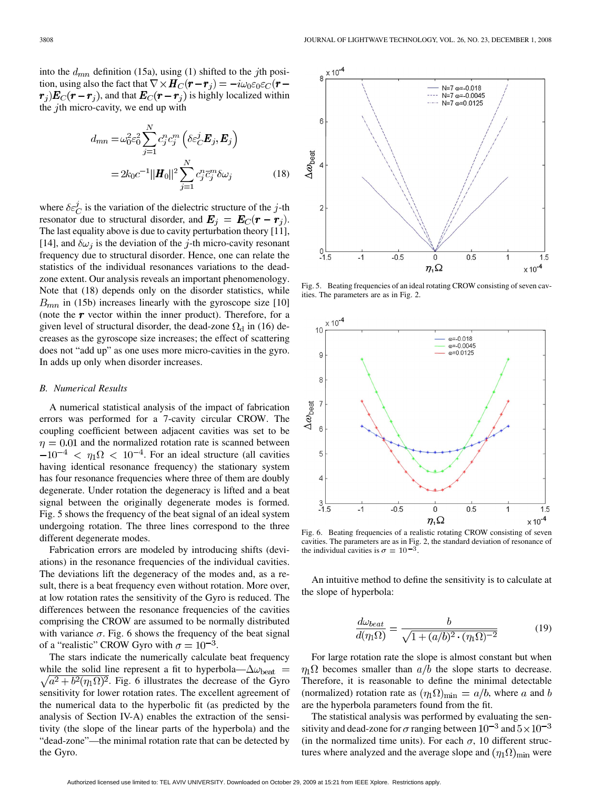into the  $d_{mn}$  definition (15a), using (1) shifted to the jth position, using also the fact that  $\nabla \times \mathbf{H}_C(\mathbf{r} - \mathbf{r}_i) = -i\omega_0 \varepsilon_0 \varepsilon_C(\mathbf{r} - \mathbf{r}_i)$  $r_i$ ) $E_C(r - r_i)$ , and that  $E_C(r - r_i)$  is highly localized within the *j*th micro-cavity, we end up with

$$
d_{mn} = \omega_0^2 \varepsilon_0^2 \sum_{j=1}^N c_j^n c_j^m \left( \delta \varepsilon_C^j \mathbf{E}_j, \mathbf{E}_j \right)
$$
  
= 
$$
2k_0 c^{-1} ||\mathbf{H}_0||^2 \sum_{j=1}^N c_j^n \overline{c}_j^m \delta \omega_j
$$
 (18)

where  $\delta \varepsilon_C^j$  is the variation of the dielectric structure of the j-th resonator due to structural disorder, and  $E_i = E_C(r - r_i)$ . The last equality above is due to cavity perturbation theory [11], [14], and  $\delta \omega_i$  is the deviation of the *j*-th micro-cavity resonant frequency due to structural disorder. Hence, one can relate the statistics of the individual resonances variations to the deadzone extent. Our analysis reveals an important phenomenology. Note that (18) depends only on the disorder statistics, while  $B_{mn}$  in (15b) increases linearly with the gyroscope size [10] (note the  $r$  vector within the inner product). Therefore, for a given level of structural disorder, the dead-zone  $\Omega_d$  in (16) decreases as the gyroscope size increases; the effect of scattering does not "add up" as one uses more micro-cavities in the gyro. In adds up only when disorder increases.

#### *B. Numerical Results*

A numerical statistical analysis of the impact of fabrication errors was performed for a 7-cavity circular CROW. The coupling coefficient between adjacent cavities was set to be  $\eta = 0.01$  and the normalized rotation rate is scanned between  $-10^{-4}$  <  $\eta_1 \Omega$  < 10<sup>-4</sup>. For an ideal structure (all cavities having identical resonance frequency) the stationary system has four resonance frequencies where three of them are doubly degenerate. Under rotation the degeneracy is lifted and a beat signal between the originally degenerate modes is formed. Fig. 5 shows the frequency of the beat signal of an ideal system undergoing rotation. The three lines correspond to the three different degenerate modes.

Fabrication errors are modeled by introducing shifts (deviations) in the resonance frequencies of the individual cavities. The deviations lift the degeneracy of the modes and, as a result, there is a beat frequency even without rotation. More over, at low rotation rates the sensitivity of the Gyro is reduced. The differences between the resonance frequencies of the cavities comprising the CROW are assumed to be normally distributed with variance  $\sigma$ . Fig. 6 shows the frequency of the beat signal of a "realistic" CROW Gyro with  $\sigma = 10^{-3}$ .

The stars indicate the numerically calculate beat frequency while the solid line represent a fit to hyperbola— $\Delta \omega_{\rm beat}$  =  $\sqrt{a^2 + b^2(\eta_1 \Omega)^2}$ . Fig. 6 illustrates the decrease of the Gyro sensitivity for lower rotation rates. The excellent agreement of the numerical data to the hyperbolic fit (as predicted by the analysis of Section IV-A) enables the extraction of the sensitivity (the slope of the linear parts of the hyperbola) and the "dead-zone"—the minimal rotation rate that can be detected by the Gyro.



Fig. 5. Beating frequencies of an ideal rotating CROW consisting of seven cavities. The parameters are as in Fig. 2.



Fig. 6. Beating frequencies of a realistic rotating CROW consisting of seven cavities. The parameters are as in Fig. 2, the standard deviation of resonance of the individual cavities is  $\sigma = 10^{-3}$ .

An intuitive method to define the sensitivity is to calculate at the slope of hyperbola:

$$
\frac{d\omega_{beat}}{d(\eta_1 \Omega)} = \frac{b}{\sqrt{1 + (a/b)^2 \cdot (\eta_1 \Omega)^{-2}}} \tag{19}
$$

For large rotation rate the slope is almost constant but when  $\eta_1\Omega$  becomes smaller than  $a/b$  the slope starts to decrease. Therefore, it is reasonable to define the minimal detectable (normalized) rotation rate as  $(\eta_1 \Omega)_{\text{min}} = a/b$ , where a and b are the hyperbola parameters found from the fit.

The statistical analysis was performed by evaluating the sensitivity and dead-zone for  $\sigma$  ranging between  $10^{-3}$  and  $5 \times 10^{-3}$ (in the normalized time units). For each  $\sigma$ , 10 different structures where analyzed and the average slope and  $(\eta_1 \Omega)_{\text{min}}$  were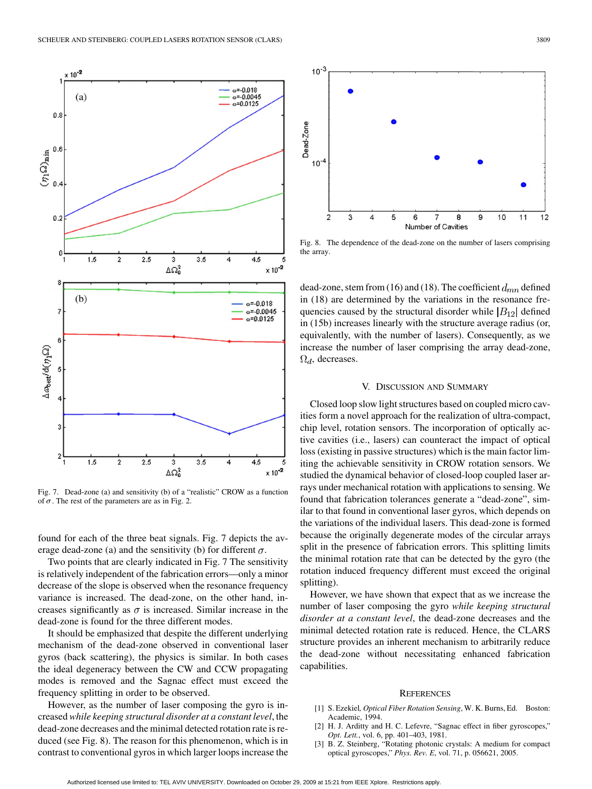

Fig. 7. Dead-zone (a) and sensitivity (b) of a "realistic" CROW as a function of  $\sigma$ . The rest of the parameters are as in Fig. 2.

found for each of the three beat signals. Fig. 7 depicts the average dead-zone (a) and the sensitivity (b) for different  $\sigma$ .

Two points that are clearly indicated in Fig. 7 The sensitivity is relatively independent of the fabrication errors—only a minor decrease of the slope is observed when the resonance frequency variance is increased. The dead-zone, on the other hand, increases significantly as  $\sigma$  is increased. Similar increase in the dead-zone is found for the three different modes.

It should be emphasized that despite the different underlying mechanism of the dead-zone observed in conventional laser gyros (back scattering), the physics is similar. In both cases the ideal degeneracy between the CW and CCW propagating modes is removed and the Sagnac effect must exceed the frequency splitting in order to be observed.

However, as the number of laser composing the gyro is increased *while keeping structural disorder at a constant level*, the dead-zone decreases and the minimal detected rotation rate is reduced (see Fig. 8). The reason for this phenomenon, which is in contrast to conventional gyros in which larger loops increase the



Fig. 8. The dependence of the dead-zone on the number of lasers comprising the array.

dead-zone, stem from (16) and (18). The coefficient  $d_{mn}$  defined in (18) are determined by the variations in the resonance frequencies caused by the structural disorder while  $|B_{12}|$  defined in (15b) increases linearly with the structure average radius (or, equivalently, with the number of lasers). Consequently, as we increase the number of laser comprising the array dead-zone,  $\Omega_d$ , decreases.

#### V. DISCUSSION AND SUMMARY

Closed loop slow light structures based on coupled micro cavities form a novel approach for the realization of ultra-compact, chip level, rotation sensors. The incorporation of optically active cavities (i.e., lasers) can counteract the impact of optical loss (existing in passive structures) which is the main factor limiting the achievable sensitivity in CROW rotation sensors. We studied the dynamical behavior of closed-loop coupled laser arrays under mechanical rotation with applications to sensing. We found that fabrication tolerances generate a "dead-zone", similar to that found in conventional laser gyros, which depends on the variations of the individual lasers. This dead-zone is formed because the originally degenerate modes of the circular arrays split in the presence of fabrication errors. This splitting limits the minimal rotation rate that can be detected by the gyro (the rotation induced frequency different must exceed the original splitting).

However, we have shown that expect that as we increase the number of laser composing the gyro *while keeping structural disorder at a constant level*, the dead-zone decreases and the minimal detected rotation rate is reduced. Hence, the CLARS structure provides an inherent mechanism to arbitrarily reduce the dead-zone without necessitating enhanced fabrication capabilities.

## **REFERENCES**

- [1] S. Ezekiel*, Optical Fiber Rotation Sensing*, W. K. Burns, Ed. Boston: Academic, 1994.
- [2] H. J. Arditty and H. C. Lefevre, "Sagnac effect in fiber gyroscopes," *Opt. Lett.*, vol. 6, pp. 401–403, 1981.
- [3] B. Z. Steinberg, "Rotating photonic crystals: A medium for compact optical gyroscopes," *Phys. Rev. E*, vol. 71, p. 056621, 2005.